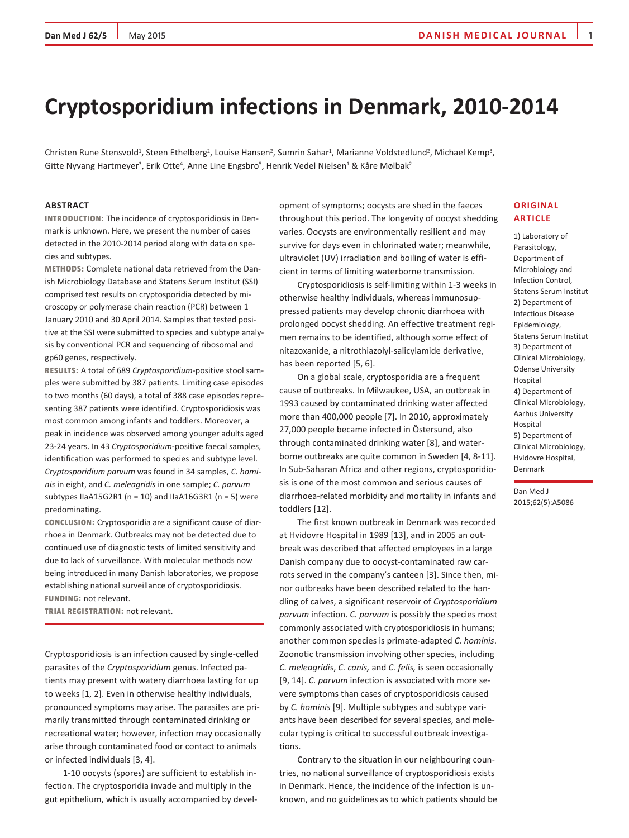# **Cryptosporidium infections in Denmark, 2010-2014**

Christen Rune Stensvold<sup>1</sup>, Steen Ethelberg<sup>2</sup>, Louise Hansen<sup>2</sup>, Sumrin Sahar<sup>1</sup>, Marianne Voldstedlund<sup>2</sup>, Michael Kemp<sup>3</sup>, Gitte Nyvang Hartmeyer<sup>3</sup>, Erik Otte<sup>4</sup>, Anne Line Engsbro<sup>5</sup>, Henrik Vedel Nielsen<sup>1</sup> & Kåre Mølbak<sup>2</sup>

## **Abstract**

**Introduction:** The incidence of cryptosporidiosis in Denmark is unknown. Here, we present the number of cases detected in the 2010-2014 period along with data on species and subtypes.

**Methods:** Complete national data retrieved from the Danish Microbiology Database and Statens Serum Institut (SSI) comprised test results on cryptosporidia detected by microscopy or polymerase chain reaction (PCR) between 1 January 2010 and 30 April 2014. Samples that tested positive at the SSI were submitted to species and subtype analysis by conventional PCR and sequencing of ribosomal and gp60 genes, respectively.

**Results:** A total of 689 *Cryptosporidium*-positive stool samples were submitted by 387 patients. Limiting case episodes to two months (60 days), a total of 388 case episodes representing 387 patients were identified. Cryptosporidiosis was most common among infants and toddlers. Moreover, a peak in incidence was observed among younger adults aged 23-24 years. In 43 *Cryptosporidium*-positive faecal samples, identification was performed to species and subtype level. *Cryptosporidium parvum* was found in 34 samples, *C. hominis* in eight, and *C. meleagridis* in one sample; *C. parvum*  subtypes IIaA15G2R1 ( $n = 10$ ) and IIaA16G3R1 ( $n = 5$ ) were predominating.

**Conclusion:** Cryptosporidia are a significant cause of diarrhoea in Denmark. Outbreaks may not be detected due to continued use of diagnostic tests of limited sensitivity and due to lack of surveillance. With molecular methods now being introduced in many Danish laboratories, we propose establishing national surveillance of cryptosporidiosis. **Funding:** not relevant.

**Trial registration:** not relevant.

Cryptosporidiosis is an infection caused by single-celled parasites of the *Cryptosporidium* genus. Infected patients may present with watery diarrhoea lasting for up to weeks [1, 2]. Even in otherwise healthy individuals, pronounced symptoms may arise. The parasites are primarily transmitted through contaminated drinking or recreational water; however, infection may occasionally arise through contaminated food or contact to animals or infected individuals [3, 4].

1-10 oocysts (spores) are sufficient to establish infection. The cryptosporidia invade and multiply in the gut epithelium, which is usually accompanied by development of symptoms; oocysts are shed in the faeces throughout this period. The longevity of oocyst shedding varies. Oocysts are environmentally resilient and may survive for days even in chlorinated water; meanwhile, ultraviolet (UV) irradiation and boiling of water is efficient in terms of limiting waterborne transmission.

Cryptosporidiosis is self-limiting within 1-3 weeks in otherwise healthy individuals, whereas immunosuppressed patients may develop chronic diarrhoea with prolonged oocyst shedding. An effective treatment regimen remains to be identified, although some effect of nitazoxanide, a nitrothiazolyl-salicylamide derivative, has been reported [5, 6].

On a global scale, cryptosporidia are a frequent cause of outbreaks. In Milwaukee, USA, an outbreak in 1993 caused by contaminated drinking water affected more than 400,000 people [7]. In 2010, approximately 27,000 people became infected in Östersund, also through contaminated drinking water [8], and waterborne outbreaks are quite common in Sweden [4, 8-11]. In Sub-Saharan Africa and other regions, cryptosporidiosis is one of the most common and serious causes of diarrhoea-related morbidity and mortality in infants and toddlers [12].

The first known outbreak in Denmark was recorded at Hvidovre Hospital in 1989 [13], and in 2005 an outbreak was described that affected employees in a large Danish company due to oocyst-contaminated raw carrots served in the company's canteen [3]. Since then, minor outbreaks have been described related to the handling of calves, a significant reservoir of *Cryptosporidium parvum* infection. *C. parvum* is possibly the species most commonly associated with cryptosporidiosis in humans; another common species is primate-adapted *C. hominis*. Zoonotic transmission involving other species, including *C. meleagridis*, *C. canis,* and *C. felis,* is seen occasionally [9, 14]. *C. parvum* infection is associated with more severe symptoms than cases of cryptosporidiosis caused by *C. hominis* [9]. Multiple subtypes and subtype variants have been described for several species, and molecular typing is critical to successful outbreak investigations.

Contrary to the situation in our neighbouring countries, no national surveillance of cryptosporidiosis exists in Denmark. Hence, the incidence of the infection is unknown, and no guidelines as to which patients should be

# **Original article**

1) Laboratory of Parasitology, Department of Microbiology and Infection Control, Statens Serum Institut 2) Department of Infectious Disease Epidemiology, Statens Serum Institut 3) Department of Clinical Microbiology, Odense University Hospital 4) Department of Clinical Microbiology, Aarhus University Hospital 5) Department of Clinical Microbiology, Hvidovre Hospital, Denmark

Dan Med J 2015;62(5):A5086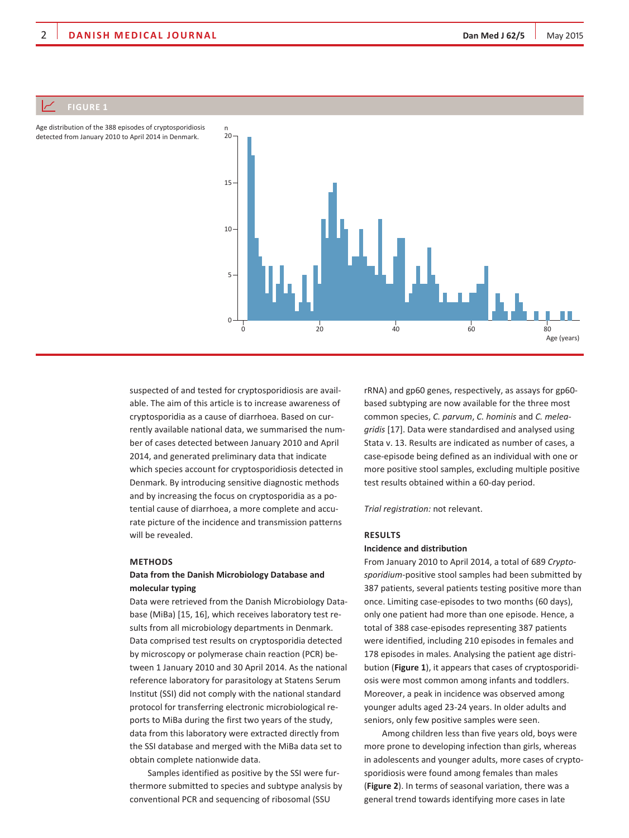

Age distribution of the 388 episodes of cryptosporidiosis detected from January 2010 to April 2014 in Denmark.

> suspected of and tested for cryptosporidiosis are available. The aim of this article is to increase awareness of cryptosporidia as a cause of diarrhoea. Based on currently available national data, we summarised the number of cases detected between January 2010 and April 2014, and generated preliminary data that indicate which species account for cryptosporidiosis detected in Denmark. By introducing sensitive diagnostic methods and by increasing the focus on cryptosporidia as a potential cause of diarrhoea, a more complete and accurate picture of the incidence and transmission patterns will be revealed.

## **Methods**

# **Data from the Danish Microbiology Database and molecular typing**

Data were retrieved from the Danish Microbiology Database (MiBa) [15, 16], which receives laboratory test results from all microbiology departments in Denmark. Data comprised test results on cryptosporidia detected by microscopy or polymerase chain reaction (PCR) between 1 January 2010 and 30 April 2014. As the national reference laboratory for parasitology at Statens Serum Institut (SSI) did not comply with the national standard protocol for transferring electronic microbiological reports to MiBa during the first two years of the study, data from this laboratory were extracted directly from the SSI database and merged with the MiBa data set to obtain complete nationwide data.

Samples identified as positive by the SSI were furthermore submitted to species and subtype analysis by conventional PCR and sequencing of ribosomal (SSU

rRNA) and gp60 genes, respectively, as assays for gp60 based subtyping are now available for the three most common species, *C. parvum*, *C. hominis* and *C. meleagridis* [17]. Data were standardised and analysed using Stata v. 13. Results are indicated as number of cases, a case-episode being defined as an individual with one or more positive stool samples, excluding multiple positive test results obtained within a 60-day period.

*Trial registration:* not relevant.

#### **Results**

## **Incidence and distribution**

From January 2010 to April 2014, a total of 689 *Cryptosporidium*-positive stool samples had been submitted by 387 patients, several patients testing positive more than once. Limiting case-episodes to two months (60 days), only one patient had more than one episode. Hence, a total of 388 case-episodes representing 387 patients were identified, including 210 episodes in females and 178 episodes in males. Analysing the patient age distribution (**Figure 1**), it appears that cases of cryptosporidiosis were most common among infants and toddlers. Moreover, a peak in incidence was observed among younger adults aged 23-24 years. In older adults and seniors, only few positive samples were seen.

Among children less than five years old, boys were more prone to developing infection than girls, whereas in adolescents and younger adults, more cases of cryptosporidiosis were found among females than males (**Figure 2**). In terms of seasonal variation, there was a general trend towards identifying more cases in late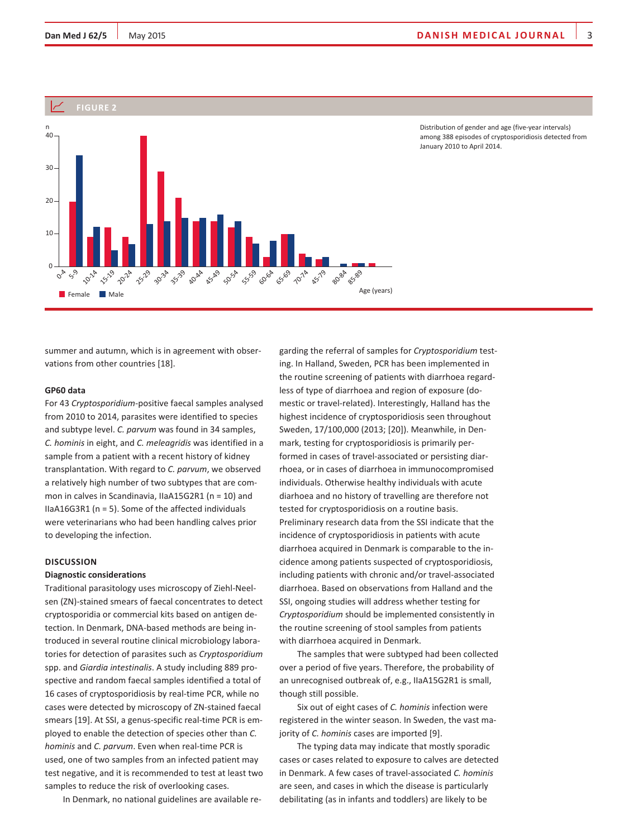

Distribution of gender and age (five-year intervals) among 388 episodes of cryptosporidiosis detected from January 2010 to April 2014.

summer and autumn, which is in agreement with observations from other countries [18].

#### **GP60 data**

For 43 *Cryptosporidium*-positive faecal samples analysed from 2010 to 2014, parasites were identified to species and subtype level. *C. parvum* was found in 34 samples, *C. hominis* in eight, and *C. meleagridis* was identified in a sample from a patient with a recent history of kidney transplantation. With regard to *C. parvum*, we observed a relatively high number of two subtypes that are common in calves in Scandinavia, IIaA15G2R1 (n = 10) and IIaA16G3R1 (n = 5). Some of the affected individuals were veterinarians who had been handling calves prior to developing the infection.

## **DISCUSSION**

# **Diagnostic considerations**

Traditional parasitology uses microscopy of Ziehl-Neelsen (ZN)-stained smears of faecal concentrates to detect cryptosporidia or commercial kits based on antigen detection. In Denmark, DNA-based methods are being introduced in several routine clinical microbiology laboratories for detection of parasites such as *Cryptosporidium* spp. and *Giardia intestinalis*. A study including 889 prospective and random faecal samples identified a total of 16 cases of cryptosporidiosis by real-time PCR, while no cases were detected by microscopy of ZN-stained faecal smears [19]. At SSI, a genus-specific real-time PCR is employed to enable the detection of species other than *C. hominis* and *C. parvum*. Even when real-time PCR is used, one of two samples from an infected patient may test negative, and it is recommended to test at least two samples to reduce the risk of overlooking cases.

In Denmark, no national guidelines are available re-

garding the referral of samples for *Cryptosporidium* testing. In Halland, Sweden, PCR has been implemented in the routine screening of patients with diarrhoea regardless of type of diarrhoea and region of exposure (domestic or travel-related). Interestingly, Halland has the highest incidence of cryptosporidiosis seen throughout Sweden, 17/100,000 (2013; [20]). Meanwhile, in Denmark, testing for cryptosporidiosis is primarily performed in cases of travel-associated or persisting diarrhoea, or in cases of diarrhoea in immunocompromised individuals. Otherwise healthy individuals with acute diarhoea and no history of travelling are therefore not tested for cryptosporidiosis on a routine basis. Preliminary research data from the SSI indicate that the incidence of cryptosporidiosis in patients with acute diarrhoea acquired in Denmark is comparable to the incidence among patients suspected of cryptosporidiosis, including patients with chronic and/or travel-associated diarrhoea. Based on observations from Halland and the SSI, ongoing studies will address whether testing for *Cryptosporidium* should be implemented consistently in the routine screening of stool samples from patients with diarrhoea acquired in Denmark.

The samples that were subtyped had been collected over a period of five years. Therefore, the probability of an unrecognised outbreak of, e.g., IIaA15G2R1 is small, though still possible.

Six out of eight cases of *C. hominis* infection were registered in the winter season. In Sweden, the vast majority of *C. hominis* cases are imported [9].

The typing data may indicate that mostly sporadic cases or cases related to exposure to calves are detected in Denmark. A few cases of travel-associated *C. hominis* are seen, and cases in which the disease is particularly debilitating (as in infants and toddlers) are likely to be